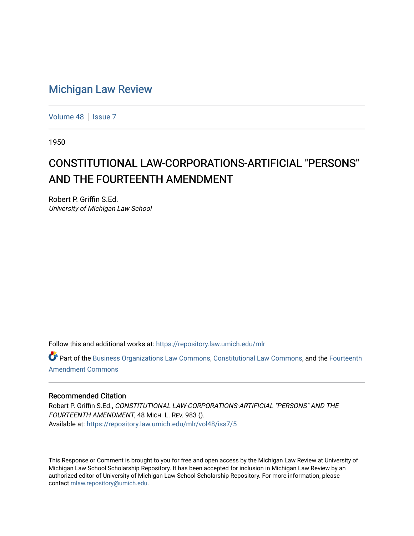## [Michigan Law Review](https://repository.law.umich.edu/mlr)

[Volume 48](https://repository.law.umich.edu/mlr/vol48) | [Issue 7](https://repository.law.umich.edu/mlr/vol48/iss7)

1950

# CONSTITUTIONAL LAW-CORPORATIONS-ARTIFICIAL "PERSONS" AND THE FOURTEENTH AMENDMENT

Robert P. Griffin S.Ed. University of Michigan Law School

Follow this and additional works at: [https://repository.law.umich.edu/mlr](https://repository.law.umich.edu/mlr?utm_source=repository.law.umich.edu%2Fmlr%2Fvol48%2Fiss7%2F5&utm_medium=PDF&utm_campaign=PDFCoverPages) 

Part of the [Business Organizations Law Commons](http://network.bepress.com/hgg/discipline/900?utm_source=repository.law.umich.edu%2Fmlr%2Fvol48%2Fiss7%2F5&utm_medium=PDF&utm_campaign=PDFCoverPages), [Constitutional Law Commons](http://network.bepress.com/hgg/discipline/589?utm_source=repository.law.umich.edu%2Fmlr%2Fvol48%2Fiss7%2F5&utm_medium=PDF&utm_campaign=PDFCoverPages), and the [Fourteenth](http://network.bepress.com/hgg/discipline/1116?utm_source=repository.law.umich.edu%2Fmlr%2Fvol48%2Fiss7%2F5&utm_medium=PDF&utm_campaign=PDFCoverPages)  [Amendment Commons](http://network.bepress.com/hgg/discipline/1116?utm_source=repository.law.umich.edu%2Fmlr%2Fvol48%2Fiss7%2F5&utm_medium=PDF&utm_campaign=PDFCoverPages)

### Recommended Citation

Robert P. Griffin S.Ed., CONSTITUTIONAL LAW-CORPORATIONS-ARTIFICIAL "PERSONS" AND THE FOURTEENTH AMENDMENT, 48 MICH. L. REV. 983 (). Available at: [https://repository.law.umich.edu/mlr/vol48/iss7/5](https://repository.law.umich.edu/mlr/vol48/iss7/5?utm_source=repository.law.umich.edu%2Fmlr%2Fvol48%2Fiss7%2F5&utm_medium=PDF&utm_campaign=PDFCoverPages)

This Response or Comment is brought to you for free and open access by the Michigan Law Review at University of Michigan Law School Scholarship Repository. It has been accepted for inclusion in Michigan Law Review by an authorized editor of University of Michigan Law School Scholarship Repository. For more information, please contact [mlaw.repository@umich.edu](mailto:mlaw.repository@umich.edu).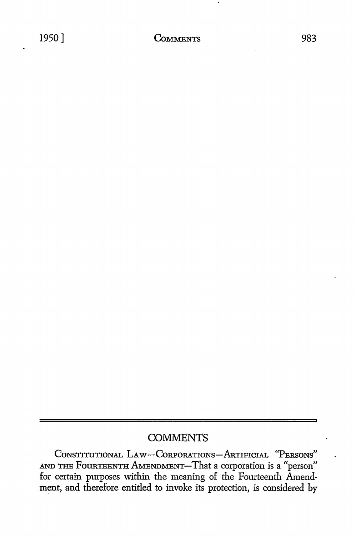### **COMMENTS**

CoNSTITUTIONAL LA w-CoRPORATIONs-ARTIFICIAL "PERSONS" AND THE FouRTEENTH AMENDMENT-That a corporation is a "person" for certain purposes within the meaning of the Fourteenth Amendment, and therefore entitled to invoke its protection, is considered by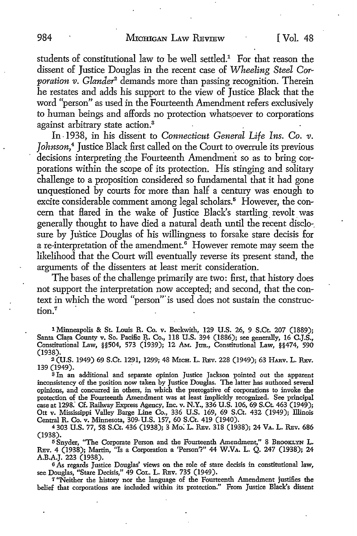students of constitutional law to be well settled.<sup>1</sup> For that reason the dissent of Justice Douglas in the recent case of *Wheeling Steel Corporation v. Glander2* demands more than passing recognition. Therein he restates and adds his support to the view of Justice Black that the word "person" as used in the Fourteenth Amendment refers exclusively to human beings and affords no protection whats\_oever to corporations against arbitrary state action.<sup>3</sup>

In• 1938, in his dissent to *Connecticut General Life Ins. Co. v. Johnson,4* Justice Black first called on the Court to overrule its previous decisions interpreting the Fourteenth Amendment so as to bring corporations within the scope of its protection. His stinging and solitary challenge to a proposition considered so fundamental that it had gone unquestioned by courts for more than half a century was enough to excite considerable comment among legal scholars.<sup>5</sup> However, the concern that flared in the wake of Justice Black's startling\_ revolt\_ was generally thought to have died a natural death until the recent disclo-. sure by Justice Douglas of his willingness to forsake stare decisis for a re-interpretation of the amendment.<sup>6</sup> However remote may seem the likelihood that the Court will eventually reverse its present stand, the arguments of the dissenters at least merit consideration.

The bases of the challenge primarily are two: first, that history does not support the interpretation now accepted; and second, that the context in which the word "person"' is used does not sustain the construction.<sup>7</sup>

1 Minneapolis & **St.** Louis R. Co. v. Beckwith, 129 U.S. 26, 9 S.Ct. 207 (1889); Santa Clara County v. So. Pacific R. Co., 118 U.S. 394 (1886); see generally, 16 C.J.S., Constitutional Law, §§504, 573 (1939); 12 Am. Jun., Constitutional Law, §§474, 590 (1938).

<sup>2</sup> (U.S. 1949) 69 S.Ct. 1291, 1299; 48 MICH. L. REV. 228 (1949); 63 HARV. L. REV. 139 (1949). .

<sup>3</sup> In an additional and separate opinion Justice Jackson pointed out the apparent inconsistency of the position now taken by Justice Douglas. The latter has authored several opinions, and concurred in others, in which the prerogative of corporations to invoke the protection of the Fourteenth Amendment was at least implicitly recognized. See principal case at 1298.' Cf. Railway Express Agency, Inc. v. N.Y., 336 U.S. 106, 69 S.Ct 463 (1949); Ott v. Mississippi Valley Barge Line Co., 336 U.S. 169, 69 S.Ct. 432 (1949); Illinois Central R. Co. v. Minnesota, 309, U.S. 157, 60 S.Ct. 419 (1940).

4 303 U.S. 77, 58 S.Ct. 436 (1938); 3 Mo. L. REv. 318 (1938); 24 VA. L. REv. 686 (1938).

5 Snyder, "The Corporate Person and the Fourteenth Amendment," 8 BROOKLYN L. REv. 4 (1938); Martin, "Is a Corporation a 'Person'?" 44 W.VA. L. Q. 247 (1938); 24 A.B.A.J. 223 (1938).

<sup>6</sup>As regards Justice Douglas' views on the role of stare decisis in constitutional law, see Douglas, "Stare Decisis," 49 CoL. L. REv. 735 (1949).

7 "Neither the history nor the language of the Fourteenth Amendment justifies the belief that corporations are included within its protection." From Justice Black's dissent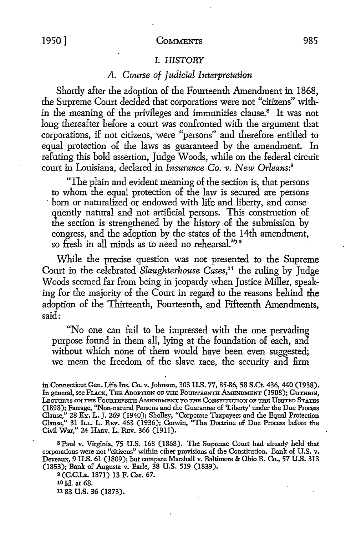#### *I. HISTORY*

### *A. Course of Judicial Interpretation*

Shortly after the adoption of the Fourteenth Amendment in 1868, the Supreme Court decided that corporations were not "citizens" within the meaning of the privileges and immunities clause.8 It was not long thereafter before a court was confronted with the argument that corporations, if not citizens, were "persons" and therefore entitled to equal protection of the laws as guaranteed by the amendment. In refuting this bold assertion, Judge Woods, while on the federal circuit court in Louisiana, declared in *Insurance Co. v. New Orleans*:<sup>9</sup>

"The plain and evident meaning of the section is, that persons to whom the equal protection of the law is secured are persons · born or naturalized or endowed with life and liberty, and consequently natural and not artificial persons. This construction of the section is strengthened by the history of the submission by congress, and the adoption by the states of the 14th amendment, so fresh in all minds as to need no rehearsal."10

While the precise question was not presented to the Supreme Court in the celebrated *Slaughterhouse Cases*,<sup>11</sup> the ruling by Judge Woods seemed far from being in jeopardy when Justice Miller, speaking for the majority of the Court in regard to the reasons behind the adoption of the Thirteenth, Fourteenth, and Fifteenth Amendments, said:

"No one can fail to be impressed with the one pervading purpose found in them all, lying at the foundation of each, and without which none of them would have been even suggested; we mean the freedom of the slave race, the security and firm

s Paul v. Virginia, 75 U.S. 168 (1868). The Supreme Court had already held that corporations were not "citizens" within other provisions of the Constitution. Bank of U.S. v. Deveaux, 9 U.S. 61 (1809); but compare Marshall v. Baltimore & Ohio R. Co., 57 U.S. 313 (1853); Bank of Augusta v. Earle, 38 U.S. 519 (1839).

<sup>9</sup>(C.C.La. 1871) 13 F. Cas. 67. 101d. at 68. 11 83 **U.S.** 36 (1873).

in Connecticut Gen. Life Ins. Co. v. Johnson, 303 U.S. 77, 85-86, 58 S.Ct. 436, 440 (1938). In general, see FLACK, THE ADOPTION OF THE FOURTEENTH AMENDMENT (1908); GUTHRIE, LECTURES ON THE FOURTEENTH AMENDMENT TO THE CONSTITUTION OF THE UNITED STATES (1898); Farrage, "Non-natural Persons and the Guarantee of 'Liberty' under the Due Process Clause," 28 KY. L. J. 269 (1940); Shotley, "Corporate Taxpayers and the Equal Protection Clause,'' 31 Iu.. L. REv. 463 (1936); Corwin, ''The Doctrine of Due Process before the Civil War," 24 HARv. L. REv. 366 (1911).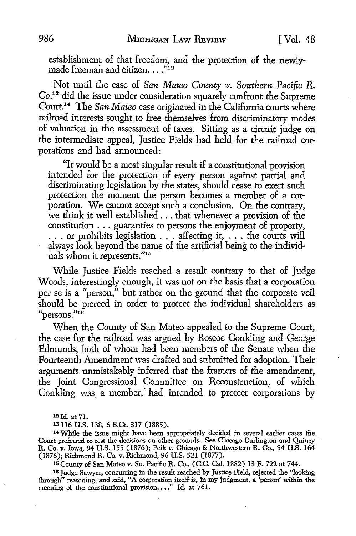establishment of that freedom, and the protection of the newlymade freeman and citizen....<sup>"12</sup>

Not until the case of *San Mateo County v. Southern Pacific R.* Co.13 did the issue under consideration squarely confront the Supreme Court.<sup>14</sup>The *San Mateo* case originated in the California courts where railroad interests sought to free themselves from discriminatory modes of valuation in the assessment of taxes. Sitting as a circuit judge on the intermediate appeal, Justice Fields had held for the railroad corporations and had announced:

"It would be a most singular result if a constitutional provision intended for the protection of every person against partial and discriminating legislation by the states, should cease to exert such protection the moment the person becomes a member of a corporation. We cannot accept such a conclusion. On the contrary, we think it well established ... that whenever a provision of the constitution . . . guaranties to persons the enjoyment of property, . . . or prohibits legislation . . . affecting it, . . . the courts will always look beyond the name of the artificial being to the individuals whom it represents."15

While Justice Fields reached a result contrary to that of Judge Woods, interestingly enough, it was not on the basis that a corporation per se is a "person," but rather on the ground that the corporate veil should be pierced in order to protect the individual shareholders as "persons." $16$ 

When the County of San Mateo appealed to the Supreme Court, the case for the railroad was argued by Roscoe Conkling and George Edmunds, both of whom had been members of the Senate when the Fourteenth Amendment was drafted and submitted for adoption. Their arguments unmistakably inferred that the framers of the amendment, the Joint Congressional Committee on Reconstruction, of which Conkling was a member, had intended to protect corporations by

13116 U.S. 138, 6 S.Ct. 317 (1885).

14 While the issue might have been appropriately decided in several earlier cases the Court preferred to rest the decisions on other grounds. See Chicago Burlington and Quincy R. Co. v. Iowa, 94 U.S. 155 (1876); Peik v. Chicago & Northwestern R. Co., 94 U.S. 164 (1876); Richmond R. Co. v. Richmond, 96 U.S. 521 (1877).

15 County of San Mateo v. So. Pacific R. Co., (C.C. Cal. 1882) 13 F. 722 at 744.

16 Judge Sawyer, concurring in the result reached by Justice Field, rejected the ''looking through" reasoning, and said, "A corporation itself· is, in my judgment, a 'person' within the meaning of the constitutional provision...." Id. at 761.

<sup>12</sup> Id. at 71.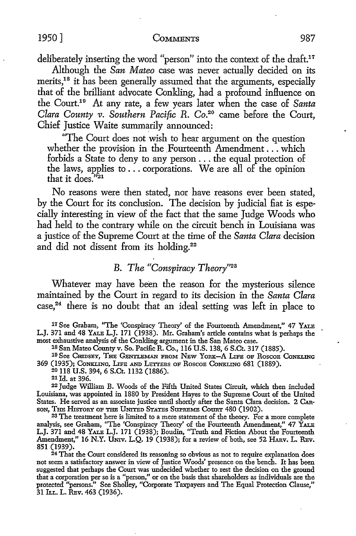deliberately inserting the word "person" into the context of the draft.<sup>17</sup>

Although the *San Mateo* case was never actually decided on its merits,<sup>18</sup> it has been generally assumed that the arguments, especially that of the brilliant advocate Conkling, had a profound influence on the Court.19 At any rate, a few years later when the case of *Santa Clara County v. Southern Pacific R. Co.*<sup>20</sup> came before the Court, Chief Justice Waite summarily announced:

"The Court does not wish to hear argument on the question whether the provision in the Fourteenth Amendment . . . which forbids a State to deny to any person ... the equal protection of the laws, applies to  $\ldots$  corporations. We are all of the opinion that it does<sup> $\tilde{v}_{21}$ </sup>

No reasons were then stated, nor have reasons ever been stated, by the Court for its conclusion. The decision by judicial fiat is especially interesting in view of the fact that the same Judge Woods who had held to the contrary while on the circuit bench in Louisiana was a justice of the Supreme Court at the time of the *Santa Clara* decision and did not dissent from its holding.<sup>22</sup>

### *B. The "Conspiracy Theory"23*

Whatever may have been the reason for the mysterious silence maintained by the Court in regard to its decision in the *Santa Clara* case, 24 there is no doubt that an ideal setting was left in place to

17 See Graham, ''The 'Conspiracy Theory' of the Fourteenth Amendment," 47 YALE L.J. 371 and 48 YALE L.J. 171 (1938). Mr. Graham's article contains what is perhaps the most exhaustive analysis of the Conkling argument in the San Mateo case.

18 San Mateo Countyv. So. Pacific R. Co., 116 U.S. 138, 6 S.Ct. 317 (1885).

19 See CHIDSEY, THE GENTLEMAN FROM NEW YORK-A LIFE OF ROSCOE CONKLING 369 (1935); CONKLING, LIFE AND LETTERS OF ROSCOE CONKLING 681 (1889).

20 118 U.S. 394, 6 S.Ct. 1132 (1886). 21 Id. at 396.

22 Judge William B. Woods of the Fifth United States Circuit, which then included Louisiana, was appointed in 1880 by President Hayes *to* the Supreme Court of the United States. He served as an associate justice until shortly after the Santa Clara decision. 2 CAR-SON, THE HISTORY OF THE UNITED STATES SUPREME COURT 480 (1902).

<sup>23</sup>The treatment here is limited to a mere statement of the theory. For a more complete analysis, see Graham, "The 'Conspiracy Theory' of the Fourteenth Amendment," 47 YALE L.J. 371 and 48 YALE L.J. 171 (1938); Boudin, "Truth and Fiction About the Fourteenth Amendment," 16 N.Y. UNIV. L.Q. 19 (1938); for a review of both, see 52 HARV. L. REV. 851 (1939).

24 That the Court considered its reasoning so obvious as not to require explanation does not seem a satisfactory answer in view of Justice Woods' presence on the bench. It has been suggested that perhaps the Court was undecided whether to rest the decision on the ground that a corporation per se is a "person," or on the basis that shareholders as individuals are the protected "persons." See Sholley, "Corporate Taxpayers and The Equal Protection Clause," 31 ILL. L. REV. 463 (1936).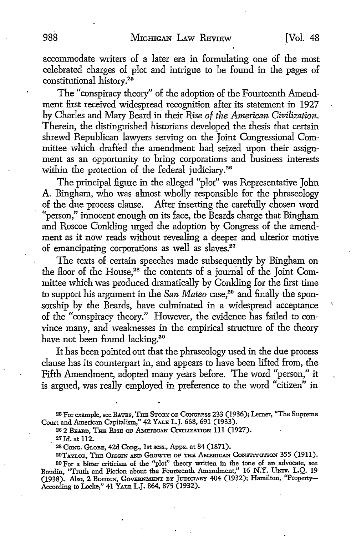accommodate writers of a later era in formulating one of the most celebrated charges of plot and intrigue to be found in the pages of constitutional history.<sup>25</sup>

The "conspiracy theory" of the adoption of the Fourteenth Amendment first received widespread recognition after its statement in 1927 by Charles and Mary Beard in their *Rise of the American Civilization.*  Therein, the distinguished historians developed the thesis that certain shrewd Republican lawyers serving on the Joint Congressional Committee which drafted the amendment had seized upon their assignment as an opportunity to bring corporations and business interests within the protection of the federal judiciary.<sup>26</sup>

The principal figure in the alleged "plot" was Representative John A Bingham, who was almost wholly responsible for the phraseology of the due process clause. After inserting the carefully chosen word "person," innocent enough on its face, the Beards charge that Bingham and Roscoe Conkling urged the adoption by Congress of the amendment as it now reads without revealing a deeper and ulterior motive of emancipating corporations as well as slaves.<sup>27</sup>

The texts of certain speeches made subsequently by Bingham on the floor of the House,28 the contents of a journal of the Joint Committee which was produced dramatically by Conkling for the first time to support his argument in the *San Mateo* case,<sup>29</sup> and finally the sponsorship by the Beards, have culminated in a widespread acceptance of the "conspiracy theory." However, the evidence has failed to convince many, and weaknesses in the empirical structure of the theory have not been found lacking.<sup>30</sup>

It has been pointed out that the phraseology used in the due process clause has its counterpart in, and appears to have been lifted from, the Fifth Amendment, adopted many years before. The word "person," it is argued, was really employed in preference to the word "citizen" in

25 For example, see BATES, THE STORY oP CoNGRBss 233 (1936); Lerner, "The Supreme Court and American Capitalism," 42 YALE L.J. 668, 691 (1933).

26 2 BEARD, THE RISE OF AMERICAN CIVILIZATION 111 (1927).

27Jd. at 112.

<sup>28</sup>CoNG. GLOBB, 42d Cong., 1st sess., Appx. at 84 (1871).

29TAYLOR, THE ORIGIN AND GROWTH OF THE AMERICAN CONSTITUTION 355 (1911).

30 For a bitter criticism of the "plot" theory written in the tone of an advocate, see Boudin "Truth and Fiction about the Fourteenth Amendment," 16 N.Y. Umv. L.Q. 19 (1938). Also, 2 Boudin, Government by Judiciary 404 (1932); Hamilton, "Property-According to Locke," 41 YALE L.J. 864, 875 (1932).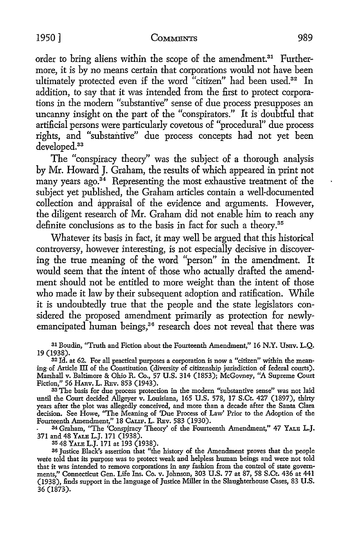order to bring aliens within the scope of the amendment.<sup>31</sup> Furthermore, it is by no means certain that corporations would not have been ultimately protected even if the word "citizen" had been used.<sup>32</sup> In addition, to say that it was intended from the first to protect corporations in the modem "substantive" sense of due process presupposes an uncanny insight on the part of the "conspirators." It is doubtful that artificial persons were particularly covetous of "procedural" due process rights, and "substantive" due process concepts had not yet been developed.<sup>33</sup>

The "conspiracy theory" was the subject of a thorough analysis by Mr. Howard J. Graham, the results of which appeared in print not many years ago.<sup>34</sup> Representing the most exhaustive treatment of the subject yet published, the Graham articles contain a well-documented collection and appraisal of the evidence and arguments. However, the diligent research of Mr. Graham did not enable him to reach any definite conclusions as to the basis in fact for such a theory.<sup>35</sup>

Whatever its basis in fact, it may well be argued that this historical controversy, however interesting, is not especially decisive in discovering the true meaning of the word "person" in the amendment. It would seem that the intent of those who actually drafted the amendment should not be entitled to more weight than the intent of those who made it law by their subsequent adoption and ratification. While it is undoubtedly true that the people and the state legislators considered the proposed amendment primarily as protection for newlyemancipated human beings,<sup>36</sup> research does not reveal that there was

31 Boudin, "Truth and Fiction about the Fourteenth Amendment," 16 N.Y. UNIV. L.Q. 19 (1938).

32 Id. at 62. For all practical purposes a corporation is now a "citizen" within the meaning· of Article III of the Constitution (diversity of citizenship jurisdiction of federal courts). Marshall v. Baltimore & Ohio R. Co., 57 U.S. 314 (1853); McGovney, "A Supreme Court Fiction," 56 HARv. L. REv. 853 (1943).

<sup>33</sup> The basis for due process protection in the modern "substantive sense" was not laid until the Court decided Allgeyer v. Louisiana, 165 U.S. 578, 17 S.Ct. 427 (1897), thirty years after the plot was allegedly conceived, and more than a decade after the Santa Clara decision. See Howe, ''The Meaning of 'Due Process of Law' Prior to the Adoption of the Fourteenth Amendment," 18 CAuF. L. REv. 583 (1930).

34 Graham, "The 'Conspiracy Theory' of the Fourteenth Amendment," 47 YALE L.J. 371 and 48 YALE L.J. 171 (1938).

35 48 YALE L.J. 171 at 193 (1938).

<sup>36</sup> Justice Black's assertion that "the history of the Amendment proves that the people wete told that its purpose was to protect weak and helpless human beings and were not told that it was intended to remove corporations in any fashion from the control of state governments," Connecticut Gen. Life Ins. Co. v. Johnson, 303 U.S. 77 at 87, 58 S.Ct. 436 at 441 (1938), finds support in the language of Justice Miller in the Slaughterhouse Cases, 83 U.S. 36 (1873).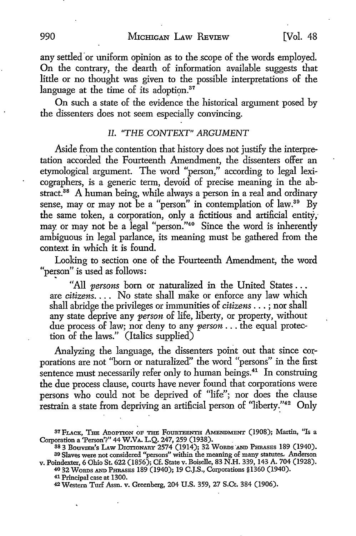any settled or uniform opinion as to the scope of the words employed. **On** the contrary, the dearth of information available suggests that little or no thought was given to the possible interpretations of the language at the time of its adoption. $37$ 

On such a state of the evidence the historical argument posed by the dissenters does not seem especially convincing.

### II. "THE CONTEXT" ARGUMENT

Aside from the contention that history does not justify the interpretation accorded the Fourteenth Amendment, the dissenters offer an etymological argument. The word "person," according to legal lexicographers, is a generic term, devoid of precise meaning in the abstract.<sup>38</sup> A human being, while always a person in a real and ordinary sense, may or may not be a "person" in contemplation of law.<sup>39</sup> By the same token, a corporation, only a fictitious and artificial entity, may or may not be a legal "person."<sup>40</sup> Since the word is inherently ambiguous in legal parlance, its meaning must be gathered from the context in which it is found.

Looking to section one of the Fourteenth Amendment, the word " person" is used as follows:

"All *persons* born or naturalized in the United States ... are *citizens.* . . . No state shall make or enforce any law which shall abridge the privileges or immunities of *citizens* ... ; nor shall any state deprive any *person* of life, liberty, or property, without due process of law; nor deny to any *person* ... the equal protection of the laws." (Italics supplied)

Analyzing the language, the dissenters point out that since corporations are not "born or naturalized" the word "persons" in the first sentence must necessarily refer only to human beings.<sup>41</sup> In construing the due process clause, courts have never found that corporations were persons who could not be deprived of "life"; nor does the clause restrain a state from depriving an artificial person of "liberty."<sup>42</sup> Only

40 32 WoRDs AND PHRASES 189 (1940); 19 C.J.S., Corporations §1360 (1940).

<sup>&</sup>lt;sup>37</sup> FLACK, THE ADOPTION OF THE FOURTEENTH AMENDMENT (1908); Martin, "Is a Corporation a 'Person'?" 44 W,VA. L.Q. 247, 259 (1938). .

<sup>38 3</sup> BOUVIER'S LAW DICTIONARY 2574 (1914); 32 WORDS AND PHRASES 189 (1940). 39 Slaves were not considered "persons" within the meaning of many statutes. Anderson v. Poindexter, 6 Ohio St. 622 (1856); Cf. State v. Boiselle, 83 N.H. 339, 143 A. 704 (1928).

<sup>41</sup> Principal case at 1300.

<sup>42</sup> Western Turf Assn. v. Greenberg, 204 U.S. 359, 27 S.Ct. 384 (1906).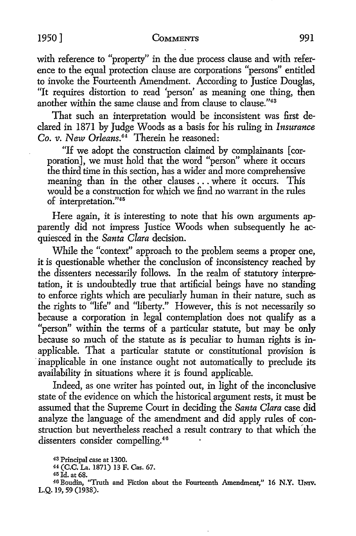with reference to "property" in the due process clause and with reference to the equal protection clause are corporations "persons" entitled to invoke the Fourteenth Amendment. According *to* Justice Douglas, "It requires distortion to read 'person' as meaning one thing, then another within the same clause and from clause to clause."<sup>43</sup>

That such an interpretation would be inconsistent was first declared in 1871 by Judge Woods as a basis for his ruling in *Insurance Co. v. New Orleans.*<sup>44</sup> Therein he reasoned:

"If we adopt the construction claimed by complainants [ corporation], we must hold that the word "person" where it occurs the third time in this section, has a wider and more comprehensive meaning than in the other clauses ... where it occurs. This would be a construction for which we find no warrant in the rules of interpretation."45

Here again, it is interesting to note that his own arguments apparently did not impress Justice Woods when subsequently he acquiesced in the *Santa Clara* decision.

While the "context" approach to the problem seems a proper one, it is questionable whether the conclusion of inconsistency reached by the dissenters necessarily follows. In the realm of statutory interpretation, it is undoubtedly true that artificial beings have no standing to enforce rights which are peculiarly human in their nature, such as the rights to "life" and "liberty." However, this is not necessarily so because a corporation in legal contemplation does not qualify as a "person" within the terms of a particular statute, but may be only because so much of the statute as is peculiar to human rights is inapplicable. That a particular statute or constitutional provision is inapplicable in one instance ought not automatically to preclude its availability in situations where it is found applicable.

Indeed, as one writer has pointed out, in light of the inconclusive state of the evidence on which the historical argument rests, it must be assumed that the Supreme Court in deciding the *Santa Clara* case did analyze the language of the amendment and did apply rules of construction but nevertheless reached a result contrary to that which' the dissenters consider compelling.<sup>46</sup>

<sup>43</sup>Principal case at 1300.

<sup>44</sup>(C.C. La. 1871) 13 F. Cas. 67.

<sup>45</sup>Jd. at 68.

<sup>46</sup> Boudin, "Truth and Fiction about the Fourteenth Amendment," 16 **N.Y. Umv.**  L.Q. 19, 59 (1938).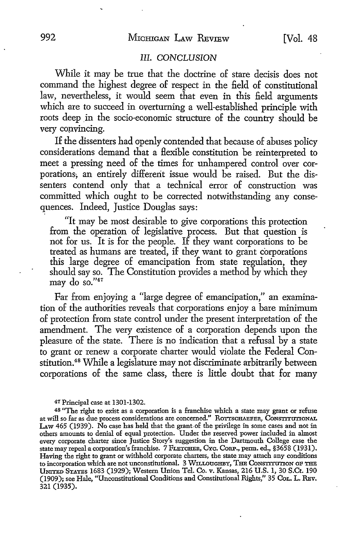### III. *CONCLUSION*

While it may be true that the doctrine of stare decisis does not command the highest degree of respect in the field of constitutional law, nevertheless, it would seem that even in this field arguments which are to succeed in overturning a well-established principle with roots deep in the socio-economic structure of the country should be very convincing.

If the dissenters had openly contended that because of abuses policy considerations demand that a flexible constitution be reinterpreted to meet a pressing need of the times for unhampered control over corporations; an entirely different issue would be raised. But the dissenters contend only that a technical error of construction was committed which ought to be corrected notwithstanding any consequences. Indeed, Justice Douglas says:

"It may be most desirable to give corporations this protection from the operation of legislative process. But that question is not for us. It is for the people. If they want corporations to be treated as humans are treated, if they want to grant corporations this large degree of emancipation from state regulation, they should say so. The Constitution provides a method by which they may do so."47

Far from enjoying a "large degree of emancipation," an examination of the authorities reveals that corporations enjoy a bare minimum of protection from state control under the present interpretation of the amendment. The very existence of a corporation depends upon the pleasure of the state. There is no indication that a refusal by a state to grant or renew a corporate charter would violate the Federal Constitution. 48 While a legislature may not discriminate arbitrarily between corporations of the same class, there is little doubt that for many

47 Principal case at 1301-1302.

<sup>48</sup> "The right to exist as a corporation is a franchise which a state may grant or refuse at will so far as due process considerations are concerned." R01TSCHAEFER, CONSTITUTIONAL LAW 465 (1939). No case has held that the grant-of the privilege in some cases and not in others amounts to denial of equal protection. Under the reserved power included in almost every corporate charter since Justice Story's suggestion in the Dartmouth College case the state may repeal a corporation's franchise. 7 FLETCHER, Cxc. CoRP., perm. ed., §3658 (1931). Having the right to grant or withhold corporate charters, the state may attach any conditions to incorporation which are not unconstitutional. 3 WILLOUGHBY, THE CONSTITUTION OF THE UNITED STATES 1683 (1929); Western Union Tel. Co. v. Kansas, 216 U.S. 1, 30 S.Ct. 190 (1909); see Hale, "Unconstitutional Conditions and Constitutional Rights," 35 CoL. L. REv. 321 (1935).